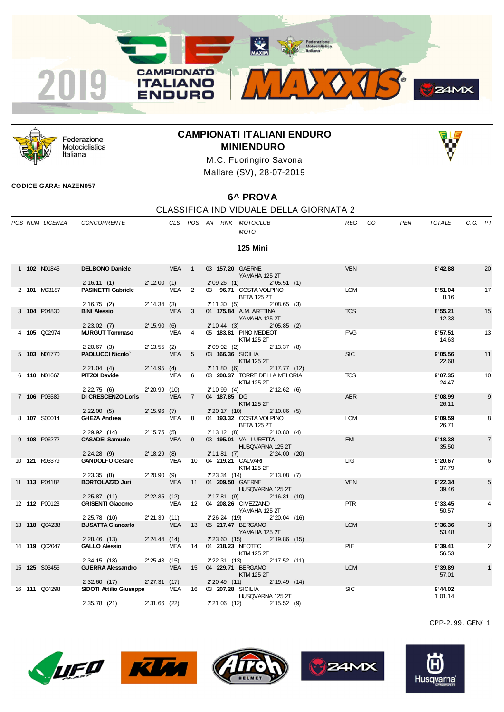



Federazione Motociclistica Italiana

# **CAMPIONATI ITALIANI ENDURO MINIENDURO**



M.C. Fuoringiro Savona Mallare (SV), 28-07-2019

## **CODICE GARA: NAZEN057**

## **6^ PROVA**

CLASSIFICA INDIVIDUALE DELLA GIORNATA 2

|  | POS NUM LICENZA      | <b>CONCORRENTE</b>                       |                 |            |                |                   | CLS POS AN RNK MOTOCLUB<br><b>MOTO</b>                     | <b>REG</b> | CO. | <b>PEN</b> | <b>TOTALE</b>      | C.G. PT |                |
|--|----------------------|------------------------------------------|-----------------|------------|----------------|-------------------|------------------------------------------------------------|------------|-----|------------|--------------------|---------|----------------|
|  |                      |                                          |                 |            |                |                   | 125 Mini                                                   |            |     |            |                    |         |                |
|  | 1 102 N01845         | <b>DELBONO Daniele</b>                   |                 | <b>MEA</b> | $\overline{1}$ |                   | 03 157.20 GAERNE<br>YAMAHA 125 2T                          | <b>VEN</b> |     |            | 8'42.88            |         | 20             |
|  | 2 101 M03187         | 2'16.11(1)<br><b>PASINETTI Gabriele</b>  | 2' 12.00 (1)    | <b>MEA</b> | $\overline{2}$ | 2'09.26(1)        | 2'05.51(1)<br>03 96.71 COSTA VOLPINO<br><b>BETA 125 2T</b> | <b>LOM</b> |     |            | 8'51.04<br>8.16    |         | 17             |
|  |                      | 2'16.75(2)                               | 2' 14.34 (3)    |            |                | 2'11.30(5)        | $2'08.65$ (3)                                              |            |     |            |                    |         |                |
|  | 3 104 P04830         | <b>BINI Alessio</b>                      |                 | <b>MEA</b> | 3              |                   | 04 175.84 A.M. ARETINA<br>YAMAHA 125 2T                    | <b>TOS</b> |     |            | 8'55.21<br>12.33   |         | 15             |
|  |                      | 2' 23.02 (7)<br><b>MURGUT Tommaso</b>    | 2' 15.90 (6)    | <b>MEA</b> |                | 2'10.44(3)        | 2'05.85(2)                                                 | <b>FVG</b> |     |            | 8'57.51            |         | 13             |
|  | 4 105 Q02974         | 2'20.67(3)                               | $2' 13.55$ (2)  |            | $\overline{4}$ | 2'09.92(2)        | 05 183.81 PINO MEDEOT<br>KTM 125 2T<br>$2' 13.37$ (8)      |            |     |            | 14.63              |         |                |
|  | 5 103 N01770         | <b>PAOLUCCI Nicolo'</b>                  |                 | <b>MEA</b> | 5              | 03 166.36 SICILIA |                                                            | <b>SIC</b> |     |            | 9'05.56            |         | 11             |
|  |                      | 2'21.04(4)                               | 2' 14.95 (4)    |            |                | 2'11.80(6)        | KTM 125 2T<br>$2' 17.77$ (12)                              |            |     |            | 22.68              |         |                |
|  | 6 110 N01667         | <b>PITZOI Davide</b>                     |                 | MEA        | 6              |                   | 03 200.37 TORRE DELLA MELORIA                              | <b>TOS</b> |     |            | 9'07.35            |         | 10             |
|  |                      |                                          |                 |            |                |                   | <b>KTM 125 2T</b>                                          |            |     |            | 24.47              |         |                |
|  |                      | 2' 22.75 (6)                             | $2'20.99$ (10)  |            |                | $2'10.99$ (4)     | 2' 12.62 (6)                                               |            |     |            |                    |         |                |
|  | 7 106 P03589         | <b>DI CRESCENZO Loris</b>                |                 | <b>MEA</b> | $\overline{7}$ | 04 187.85 DG      | KTM 125 2T                                                 | <b>ABR</b> |     |            | 9'08.99<br>26.11   |         | 9              |
|  | 8 107 S00014         | 2'22.00(5)<br><b>GHEZA Andrea</b>        | 2' 15.96 (7)    | MEA        | 8              | 2'20.17(10)       | $2' 10.86$ (5)<br>04 193.32 COSTA VOLPINO                  | <b>LOM</b> |     |            | 9'09.59            |         | 8              |
|  |                      | 2' 29.92 (14)                            | 2' 15.75 (5)    |            |                | 2' 13.12(8)       | <b>BETA 125 2T</b><br>$2' 10.80$ (4)                       |            |     |            | 26.71              |         |                |
|  | 9 108 P06272         | <b>CASADEI Samuele</b>                   |                 | <b>MEA</b> | 9              |                   | 03 195.01 VAL LURETTA                                      | <b>EMI</b> |     |            | 9'18.38            |         | $\overline{7}$ |
|  |                      | 2'24.28(9)                               | 2' 18.29 (8)    |            |                | 2'11.81(7)        | HUSQVARNA 125 2T<br>$2' 24.00$ (20)                        |            |     |            | 35.50              |         |                |
|  | 10 121 R03379        | <b>GANDOLFO Cesare</b>                   |                 | MEA        | 10             |                   | 04 219.21 CALVARI                                          | ЦG         |     |            | 9'20.67            |         | 6              |
|  |                      |                                          |                 |            |                |                   | KTM 125 2T                                                 |            |     |            | 37.79              |         |                |
|  |                      | $2'$ 23.35 (8)                           | $2'20.90$ (9)   |            |                | $2'$ 23.34 $(14)$ | $2' 13.08$ (7)                                             |            |     |            |                    |         |                |
|  | 11 <b>113</b> P04182 | <b>BORTOLAZZO Juri</b>                   |                 | <b>MEA</b> | 11             |                   | 04 209.50 GAERNE<br>HUSQVARNA 125 2T                       | <b>VEN</b> |     |            | 9'22.34<br>39.46   |         | 5              |
|  |                      | 2'25.87(11)                              | $2'$ 22.35 (12) |            |                | 2'17.81(9)        | 2' 16.31 (10)                                              |            |     |            |                    |         |                |
|  | 12 112 P00123        | <b>GRISENTI Giacomo</b><br>2' 25.78 (10) | 2'21.39(11)     | <b>MEA</b> | 12             | 2' 26.24 (19)     | 04 208.26 CIVEZZANO<br>YAMAHA 125 2T<br>$2'20.04$ (16)     | <b>PTR</b> |     |            | 9'33.45<br>50.57   |         | 4              |
|  | 13 <b>118</b> Q04238 | <b>BUSATTA Giancarlo</b>                 |                 | <b>MEA</b> | 13             |                   | 05 217.47 BERGAMO                                          | <b>LOM</b> |     |            | 9'36.36            |         | 3              |
|  |                      | 2' 28.46 (13)                            | 2' 24.44 (14)   |            |                | $2'$ 23.60 $(15)$ | YAMAHA 125 2T<br>2'19.86(15)                               |            |     |            | 53.48              |         |                |
|  | 14 119 Q02047        | <b>GALLO Alessio</b>                     |                 | <b>MEA</b> | 14             |                   | 04 218.23 NEOTEC                                           | <b>PIE</b> |     |            | 9'39.41            |         | 2              |
|  |                      | 2' 34.15 (18)                            | $2'25.43$ (15)  |            |                | 2' 22.31 (13)     | KTM 125 2T<br>2' 17.52 (11)                                |            |     |            | 56.53              |         |                |
|  | 15 <b>125</b> S03456 | <b>GUERRA Alessandro</b>                 |                 | <b>MEA</b> | 15             |                   | 04 229.71 BERGAMO                                          | <b>LOM</b> |     |            | 9'39.89            |         | $\mathbf{1}$   |
|  |                      |                                          |                 |            |                |                   | <b>KTM 125 2T</b>                                          |            |     |            | 57.01              |         |                |
|  |                      | 2'32.60(17)                              | 2'27.31(17)     |            |                | $2'20.49$ (11)    | 2' 19.49 (14)                                              |            |     |            |                    |         |                |
|  | 16 111 Q04298        | SIDOTI Attilio Giuseppe                  |                 | <b>MEA</b> | 16             | 03 207.28 SICILIA | HUSQVARNA 125 2T                                           | <b>SIC</b> |     |            | 9'44.02<br>1'01.14 |         |                |
|  |                      | 2' 35.78 (21)                            | $2'31.66$ (22)  |            |                | $2'21.06$ (12)    | 2' 15.52 (9)                                               |            |     |            |                    |         |                |









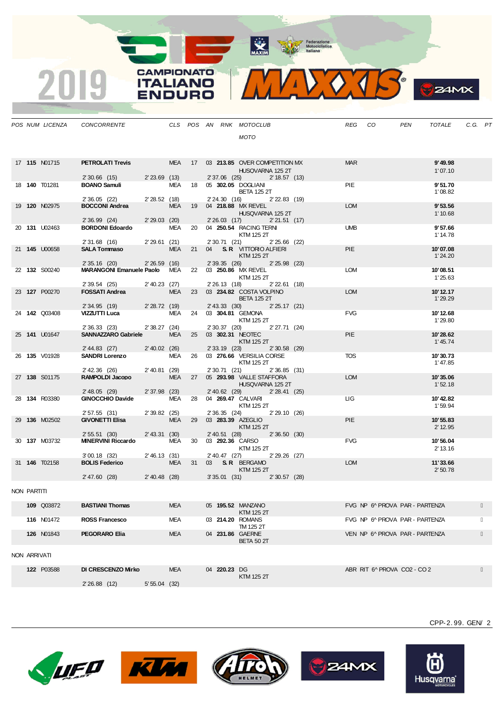MAXIM Pederazione

**CAMPIONATO** 

**ITALIANO** 

**ENDURO** 

2019



**B**Z4MX

|              |                      | POS NUM LICENZA CONCORRENTE THE CLS POS AN RNK MOTOCLUB              |             |            |  |              |                                                            |  | REG CO     |                                | PEN | TOTALE               | C.G. PT |  |
|--------------|----------------------|----------------------------------------------------------------------|-------------|------------|--|--------------|------------------------------------------------------------|--|------------|--------------------------------|-----|----------------------|---------|--|
|              |                      |                                                                      |             |            |  |              | MOTO                                                       |  |            |                                |     |                      |         |  |
|              |                      |                                                                      |             |            |  |              |                                                            |  |            |                                |     |                      |         |  |
|              |                      |                                                                      |             |            |  |              |                                                            |  |            |                                |     |                      |         |  |
|              | 17 <b>115</b> N01715 | PETROLATI Trevis MEA 17 03 213.85 OVER COMPETITION MX                |             |            |  |              | HUSQVARNA 125 2T                                           |  | <b>MAR</b> |                                |     | 9'49.98<br>1'07.10   |         |  |
|              |                      | 2' 30.66 (15) 2' 23.69 (13)                                          |             |            |  |              | 2' 37.06 (25) 2' 18.57 (13)                                |  |            |                                |     |                      |         |  |
|              | 18 <b>140</b> T01281 | <b>BOANO Samuli</b>                                                  |             |            |  |              | MEA 18 05 302.05 DOGLIANI                                  |  | PIE        |                                |     | 9'51.70              |         |  |
|              |                      |                                                                      |             |            |  |              | <b>BETA 125 2T</b><br>2'24.30 (16) 2'22.83 (19)            |  |            |                                |     | 1'08.82              |         |  |
|              | 19 <b>120</b> N02975 | 2' 36.05 (22) 2' 28.52 (18)<br><b>BOCCONI Andrea</b> MEA 19          |             |            |  |              | MEA 19 04 218.88 MX REVEL                                  |  | <b>LOM</b> |                                |     | 9'53.56              |         |  |
|              |                      |                                                                      |             |            |  |              | HUSQVARNA 125 2T                                           |  |            |                                |     | 1'10.68              |         |  |
|              | 20 131 U02463        | 2' 36.99 (24) 2' 29.03 (20)<br><b>BORDONI Edoardo</b>                |             |            |  |              | 2'26.03 (17) 2'21.51 (17)<br>MEA 20 04 250.54 RACING TERNI |  | <b>UMB</b> |                                |     | 9'57.66              |         |  |
|              |                      |                                                                      |             |            |  |              | KTM 125 2T                                                 |  |            |                                |     | 1' 14.78             |         |  |
|              |                      | 2'31.68 (16) 2'29.61 (21)<br>231.00 (10)                             |             |            |  |              | 2' 30.71 (21) 2' 25.66 (22)                                |  |            |                                |     |                      |         |  |
|              | 21 145 U00658        |                                                                      |             |            |  |              | MEA 21 04 S.R. VITTORIO ALFIERI<br>KTM 125 2T              |  | <b>PIE</b> |                                |     | 10'07.08<br>1'24.20  |         |  |
|              |                      | 2' 35.16 (20) 2' 26.59 (16)                                          |             |            |  |              | 2' 39.35 (26) 2' 25.98 (23)                                |  |            |                                |     |                      |         |  |
|              | 22 132 S00240        | MARANGONI Emanuele Paolo MEA 22 03 250.86 MX REVEL                   |             |            |  |              |                                                            |  | <b>LOM</b> |                                |     | 10'08.51             |         |  |
|              |                      | 2' 39.54 (25) 2' 40.23 (27)                                          |             |            |  |              | <b>KTM 125 2T</b><br>2' 26.13 (18) 2' 22.61 (18)           |  |            |                                |     | 1'25.63              |         |  |
|              | 23 127 P00270        | FOSSATI Andrea                                                       |             |            |  |              | MEA 23 03 234.82 COSTA VOLPINO                             |  | <b>LOM</b> |                                |     | 10' 12.17            |         |  |
|              |                      |                                                                      |             |            |  |              | <b>BETA 125 2T</b>                                         |  |            |                                |     | 1'29.29              |         |  |
|              | 24 <b>142</b> Q03408 | 2' 34.95 (19) 2' 28.72 (19)<br>VIZZUTTI Luca MEA 24 03 304.81 GEMONA |             |            |  |              | 2' 43.33 (30) 2' 25.17 (21)                                |  | <b>FVG</b> |                                |     | 10'12.68             |         |  |
|              |                      |                                                                      |             |            |  |              | KTM 125 2T                                                 |  |            |                                |     | 1'29.80              |         |  |
|              |                      | 2' 36.33 (23) 2' 38.27 (24)                                          |             |            |  |              | 2' 30.37 (20) 2' 27.71 (24)                                |  |            |                                |     |                      |         |  |
|              | 25 141 U01647        | SANNAZZARO Gabriele MEA 25 03 302.31 NEOTEC                          |             |            |  |              | <b>KTM 125 2T</b>                                          |  | <b>PIE</b> |                                |     | 10'28.62<br>1'45.74  |         |  |
|              |                      | 2' 44.83 (27) 2' 40.02 (26)                                          |             |            |  |              | 2' 33.19 (23) 2' 30.58 (29)                                |  |            |                                |     |                      |         |  |
|              | 26 135 V01928        | <b>SANDRI Lorenzo</b> MEA 26 03 276.66 VERSILIA CORSE                |             |            |  |              |                                                            |  | <b>TOS</b> |                                |     | 10'30.73             |         |  |
|              |                      | 2' 42.36 (26) 2' 40.81 (29)                                          |             |            |  |              | KTM 125 2T<br>2' 30.71 (21) 2' 36.85 (31)                  |  |            |                                |     | 1'47.85              |         |  |
|              | 27 138 S01175        | RAMPOLDI Jacopo                                                      |             |            |  |              | MEA 27 05 293.98 VALLE STAFFORA                            |  | <b>LOM</b> |                                |     | 10'35.06             |         |  |
|              |                      |                                                                      |             |            |  |              | HUSQVARNA 125 2T                                           |  |            |                                |     | 1'52.18              |         |  |
|              | 28 134 R03380        | 2' 48.05 (29) 2' 37.98 (23)<br><b>GINOCCHIO Davide</b>               |             |            |  |              | 2' 40.62 (29) 2' 28.41 (25)<br>MEA 28 04 269.47 CALVARI    |  | LIG.       |                                |     | 10'42.82             |         |  |
|              |                      |                                                                      |             |            |  |              | KTM 125 2T                                                 |  |            |                                |     | 1'59.94              |         |  |
|              |                      | 2' 57.55 (31) 2' 39.82 (25)<br><b>GIVONETTI Elisa</b> MEA            |             |            |  |              | 2'36.35 (24) 2'29.10 (26)                                  |  |            |                                |     |                      |         |  |
|              | 29 136 M02502        |                                                                      |             |            |  |              | MEA 29 03 283.39 AZEGLIO<br>KTM 125 2T                     |  | <b>PIE</b> |                                |     | 10'55.83<br>2' 12.95 |         |  |
|              |                      | 2' 55.51 (30) 2' 43.31 (30)                                          |             |            |  |              | 2' 40.51 (28) 2' 36.50 (30)                                |  |            |                                |     |                      |         |  |
|              | 30 137 M03732        | <b>MINERVINI Riccardo</b>                                            |             |            |  |              | MEA 30 03 292.36 CARSO                                     |  | <b>FVG</b> |                                |     | 10'56.04             |         |  |
|              |                      | 3'00.18 (32) 2'46.13 (31)                                            |             |            |  |              | KTM 125 2T<br>2'40.47 (27) 2'29.26 (27)                    |  |            |                                |     | 2' 13.16             |         |  |
|              | 31 <b>146</b> T02158 | 300.101(32)                                                          |             |            |  |              | MEA 31 03 S.R. BERGAMO                                     |  | <b>LOM</b> |                                |     | 11'33.66             |         |  |
|              |                      | 2'47.60 (28) 2'40.48 (28) 3'35.01 (31) 2'30.57 (28)                  |             |            |  |              | KTM 125 2T                                                 |  |            |                                |     | 2'50.78              |         |  |
|              |                      |                                                                      |             |            |  |              |                                                            |  |            |                                |     |                      |         |  |
| NON PARTITI  |                      |                                                                      |             |            |  |              |                                                            |  |            |                                |     |                      |         |  |
|              | 109 Q03872           | <b>BASTIANI Thomas</b>                                               |             | <b>MEA</b> |  |              | 05 195.52 MANZANO                                          |  |            | FVG NP 6^ PROVA PAR - PARTENZA |     |                      |         |  |
|              |                      |                                                                      |             |            |  |              | KTM 125 2T                                                 |  |            |                                |     |                      |         |  |
|              | 116 N01472           | <b>ROSS Francesco</b>                                                |             | MEA        |  |              | 03 214.20 ROMANS                                           |  |            | FVG NP 6^ PROVA PAR - PARTENZA |     |                      |         |  |
|              | <b>126 N01843</b>    | PEGORARO Elia                                                        |             | <b>MEA</b> |  |              | TM 125 2T<br>04 231.86 GAERNE                              |  |            | VEN NP 6^ PROVA PAR - PARTENZA |     |                      |         |  |
|              |                      |                                                                      |             |            |  |              | <b>BETA 50 2T</b>                                          |  |            |                                |     |                      |         |  |
|              |                      |                                                                      |             |            |  |              |                                                            |  |            |                                |     |                      |         |  |
| NON ARRIVATI |                      |                                                                      |             |            |  |              |                                                            |  |            |                                |     |                      |         |  |
|              | 122 P03588           | DI CRESCENZO Mirko                                                   |             | <b>MEA</b> |  | 04 220.23 DG |                                                            |  |            | ABR RIT 6^ PROVA CO2 - CO 2    |     |                      |         |  |
|              |                      |                                                                      |             |            |  |              | KTM 125 2T                                                 |  |            |                                |     |                      |         |  |
|              |                      | 2'26.88(12)                                                          | 5'55.04(32) |            |  |              |                                                            |  |            |                                |     |                      |         |  |
|              |                      |                                                                      |             |            |  |              |                                                            |  |            |                                |     |                      |         |  |









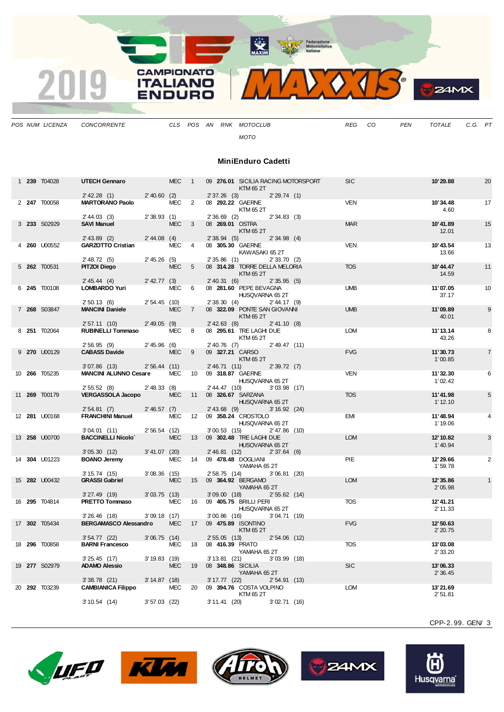

*POS NUM LICENZA CONCORRENTE CLS POS AN RNK MOTOCLUB REG CO PEN TOTALE C.G. PT*

*MOTO*

## **MiniEnduro Cadetti**

|  | 1 239 T04028         | <b>UTECH Gennaro</b>                        |                 | <b>MEC</b> | $\overline{1}$  |                                    | 09 276.01 SICILIA RACING MOTORSPORT<br>KTM 65 2T |                 | <b>SIC</b> | 10'29.88             | 20             |
|--|----------------------|---------------------------------------------|-----------------|------------|-----------------|------------------------------------|--------------------------------------------------|-----------------|------------|----------------------|----------------|
|  | 2 247 T00058         | $2'$ 42.28 (1)<br><b>MARTORANO Paolo</b>    | 2'40.60(2)      | MEC 2      |                 | $2'37.26$ (3)<br>08 292.22 GAERNE  | KTM 65 2T                                        | 2'29.74(1)      | <b>VEN</b> | 10'34.48<br>4.60     | 17             |
|  | 3 233 S02929         | $2' 44.03$ (3)<br><b>SAVI Manuel</b>        | 2'38.93(1)      | <b>MEC</b> | 3               | $2'36.69$ (2)<br>08 269.01 OSTRA   | KTM 65 2T                                        | 2'34.83(3)      | <b>MAR</b> | 10'41.89<br>12.01    | 15             |
|  |                      | $2'$ 43.89 (2)                              | $2' 44.08$ (4)  |            |                 | 2'38.94(5)                         |                                                  | $2'34.98$ (4)   |            |                      |                |
|  | 4 260 U00552         | <b>GARZOTTO Cristian</b>                    |                 | MEC 4      |                 | 08 305.30 GAERNE                   | KAWASAKI 652T                                    |                 | <b>VEN</b> | 10'43.54<br>13.66    | 13             |
|  | 5 262 T00531         | 2' 48.72(5)<br>PITZOI Diego                 | 2'45.26(5)      | <b>MEC</b> | 5               | 2'35.86(1)                         | 08 314.28 TORRE DELLA MELORIA                    | 2'33.70(2)      | <b>TOS</b> | 10'44.47             | 11             |
|  |                      | 2' 45.44 (4)                                | $2'$ 42.77 (3)  |            |                 | 2' 40.31 (6)                       | KTM 65 2T                                        | 2'35.95(5)      |            | 14.59                |                |
|  | 6 245 T00108         | <b>LOMBARDO Yuri</b>                        |                 | MEC        | 6               |                                    | 08 281.60 PEPE BEVAGNA                           |                 | <b>UMB</b> | 11'07.05             | 10             |
|  |                      | 2'50.13(6)                                  | 2'54.45(10)     |            |                 | 2'38.30(4)                         | HUSQVARNA 65 2T                                  | $2' 44.17$ (9)  |            | 37.17                |                |
|  | 7 268 S03847         | <b>MANCINI Daniele</b>                      |                 | <b>MEC</b> | $\overline{7}$  |                                    | 08 322.09 PONTE SAN GIOVANNI<br>KTM 65 2T        |                 | <b>UMB</b> | 11'09.89<br>40.01    | 9              |
|  | 8 251 T02064         | 2'57.11(10)<br><b>RUBINELLI Tommaso</b>     | $2'$ 49.05 (9)  | <b>MEC</b> | 8               | $2' 42.63$ (8)                     | 08 295.61 TRE LAGHI DUE                          | 2' 41.10 (8)    | <b>LOM</b> | 11'13.14             | 8              |
|  |                      | 2'56.95(9)                                  | 2'45.96(6)      |            |                 | $2'$ 40.76 (7)                     | KTM 65 2T                                        | $2'$ 49.47 (11) |            | 43.26                |                |
|  | 9 270 U00129         | <b>CABASS Davide</b>                        |                 | <b>MEC</b> | 9               | 09 327.21 CARSO                    |                                                  |                 | <b>FVG</b> | 11'30.73             | $\overline{7}$ |
|  |                      |                                             |                 |            |                 |                                    | KTM 65 2T                                        |                 |            | 1'00.85              |                |
|  |                      | $3'07.86$ (13)                              | 2'56.44(11)     |            |                 | 2'46.71(11)                        |                                                  | 2'39.72(7)      |            |                      |                |
|  | 10 <b>266</b> T05235 | <b>MANCINI ALUNNO Cesare</b>                |                 | <b>MEC</b> | 10              | 09 318.87 GAERNE                   | HUSQVARNA 65 2T                                  |                 | <b>VEN</b> | 11'32.30<br>1'02.42  | 6              |
|  | 11 <b>269</b> T00179 | 2'55.52(8)<br><b>VERGASSOLA Jacopo</b>      | $2'$ 48.33 (8)  | <b>MEC</b> | 11              | 2' 44.47 (10)<br>08 326.67 SARZANA | HUSQVARNA 65 2T                                  | $3'03.98$ (17)  | <b>TOS</b> | 11'41.98<br>1'12.10  | 5              |
|  | 12 281 U00168        | 2'54.81(7)<br><b>FRANCHINI Manuel</b>       | 2'46.57(7)      | <b>MEC</b> | 12              | $2'$ 43.68 (9)                     | 09 358.24 CROSTOLO                               | 3'16.92(24)     | <b>EMI</b> | 11'48.94             |                |
|  |                      | 3'04.01(11)                                 | 2'56.54(12)     |            |                 | $3'00.53$ (15)                     | HUSQVARNA 65 2T                                  | $2' 47.86$ (10) |            | 1'19.06              |                |
|  | 13 <b>258</b> U00700 | <b>BACCINELLI Nicolo'</b>                   |                 | <b>MEC</b> | 13              |                                    | 09 302.48 TRE LAGHI DUE                          |                 | <b>LOM</b> | 12'10.82             | 3              |
|  |                      |                                             |                 |            |                 |                                    | HUSQVARNA 65 2T                                  |                 |            | 1'40.94              |                |
|  |                      | 3'05.30(12)                                 | $3' 41.07$ (20) |            |                 | 2'46.81(12)                        |                                                  | 2'37.64(6)      |            |                      |                |
|  | 14 304 U01223        | <b>BOANO Jeremy</b>                         |                 | <b>MEC</b> | 14              | 09 478.48 DOGLIANI                 | YAMAHA 65 2T                                     |                 | PIE        | 12'29.66<br>1'59.78  | 2              |
|  | 15 282 U00432        | 3'15.74(15)<br><b>GRASSI Gabriel</b>        | $3'08.36$ (15)  | <b>MEC</b> | 15              | 2' 58.75 (14)                      | 09 364.92 BERGAMO                                | 3'06.81(20)     | <b>LOM</b> | 12' 35.86            |                |
|  |                      |                                             |                 |            |                 |                                    | YAMAHA 65 2T                                     |                 |            | 2'05.98              |                |
|  |                      | $3'27.49$ (19)                              | $3'03.75$ (13)  |            |                 | $3'09.00$ (18)                     |                                                  | 2'55.62(14)     |            |                      |                |
|  | 16 295 T04814        | PRETTO Tommaso                              |                 | <b>MEC</b> | 16              |                                    | 09 405.75 BRILLI PERI<br>HUSQVARNA 65 2T         |                 | <b>TOS</b> | 12'41.21<br>2' 11.33 |                |
|  |                      | $3'26.46$ (18)                              | $3'09.18$ (17)  |            |                 | $3'00.86$ (16)                     |                                                  | 3'04.71(19)     |            |                      |                |
|  | 17 302 T05434        | <b>BERGAMASCO Alessandro</b>                |                 | <b>MEC</b> | 17 <sup>2</sup> | 09 475.89 ISONTINO                 | KTM 65 2T                                        |                 | <b>FVG</b> | 12'50.63<br>2'20.75  |                |
|  | 18 296 T00858        | $3'54.77$ (22)<br><b>BARNI Francesco</b>    | $3'06.75$ (14)  | <b>MEC</b> | 18              | $2'55.05$ (13)<br>08 416.39 PRATO  |                                                  | $2'54.06$ (12)  | <b>TOS</b> | 13'03.08             |                |
|  |                      |                                             |                 |            |                 |                                    | YAMAHA 65 2T                                     |                 |            | 2' 33.20             |                |
|  |                      | 3'25.45(17)                                 | 3' 19.83 (19)   |            |                 | $3'13.81$ (21)                     |                                                  | $3'03.99$ (18)  |            |                      |                |
|  | 19 277 S02979        | <b>ADAMO Alessio</b>                        |                 | <b>MEC</b> | 19              | 08 348.86 SICILIA                  | YAMAHA 652T                                      |                 | <b>SIC</b> | 13'06.33<br>2'36.45  |                |
|  | 20 292 T03239        | $3'38.78$ (21)<br><b>CAMBIANICA Filippo</b> | 3' 14.87 (18)   | <b>MEC</b> | 20              | $3' 17.77$ (22)                    | 09 394.76 COSTA VOLPINO                          | 2'54.91(13)     | <b>LOM</b> | 13'21.69             |                |
|  |                      |                                             |                 |            |                 |                                    | KTM 65 2T                                        |                 |            | 2'51.81              |                |
|  |                      | 3'10.54(14)                                 | $3'57.03$ (22)  |            |                 | 3' 11.41 (20)                      |                                                  | 3'02.71(16)     |            |                      |                |









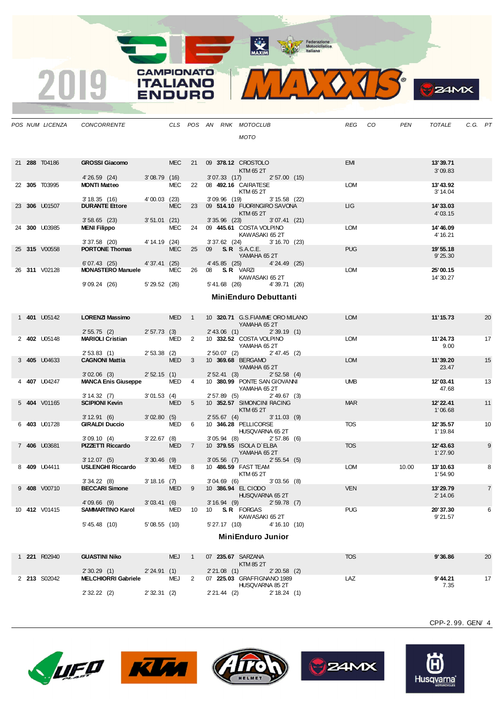**The Contraction**<br> **Motoclellstics**<br> **Motoclellstics** 

**CAMPIONATO** 

**ITALIANO** 

**ENDURO** 

2019

 $VOTS$  $\mathbf{v}_{\mathbf{k}}$ 

 $24MX$ 

|  | POS NUM LICENZA      | CONCORRENTE                                          |                |                  |                |                                     | CLS POS AN RNK MOTOCLUB                                    | REG<br>CO  | PEN   | <b>TOTALE</b>         | C.G. PT |                |
|--|----------------------|------------------------------------------------------|----------------|------------------|----------------|-------------------------------------|------------------------------------------------------------|------------|-------|-----------------------|---------|----------------|
|  |                      |                                                      |                |                  |                |                                     | <b>MOTO</b>                                                |            |       |                       |         |                |
|  | 21 288 T04186        | <b>GROSSI Giacomo</b>                                |                | <b>MEC</b>       | 21             |                                     | 09 378.12 CROSTOLO                                         | <b>EMI</b> |       | 13'39.71              |         |                |
|  |                      | 4'26.59 (24)                                         | 3'08.79(16)    |                  |                | 3'07.33(17)                         | KTM 65 2T<br>2'57.00(15)                                   |            |       | 3'09.83               |         |                |
|  | 22 305 T03995        | <b>MONTI Matteo</b>                                  |                | MEC              | 22             |                                     | 08 492.16 CAIRATESE<br>KTM 65 2T                           | LOM        |       | 13' 43.92<br>3' 14.04 |         |                |
|  |                      | 3'18.35(16)                                          | 4'00.03(23)    |                  |                | 3'09.96 (19)                        | $3' 15.58$ (22)                                            |            |       |                       |         |                |
|  | 23 306 U01507        | <b>DURANTE Ettore</b>                                |                | <b>MEC</b>       | 23             |                                     | 09 514.10 FUORINGIRO SAVONA<br>KTM 65 2T                   | <b>LIG</b> |       | 14'33.03<br>4' 03.15  |         |                |
|  | 24 300 U03985        | $3'58.65$ (23)<br><b>MENI Filippo</b>                | $3'51.01$ (21) | MEC              | 24             |                                     | $3'35.96$ $(23)$<br>3'07.41(21)<br>09 445.61 COSTA VOLPINO | <b>LOM</b> |       | 14' 46.09             |         |                |
|  |                      | $3'37.58$ (20)                                       | 4' 14.19 (24)  |                  |                |                                     | KAWASAKI 65 2T<br>$3'37.62$ $(24)$<br>3'16.70(23)          |            |       | 4' 16.21              |         |                |
|  | 25 315 V00558        | <b>PORTONE Thomas</b>                                |                | <b>MEC</b>       | 25             | 09 <b>S.R.</b> S.A.C.E.             |                                                            | <b>PUG</b> |       | 19' 55.18             |         |                |
|  |                      |                                                      | 4' 37.41 (25)  |                  |                |                                     | YAMAHA 65 2T<br>4'24.49 (25)                               |            |       | 9'25.30               |         |                |
|  | 26 311 V02128        | 6'07.43(25)<br><b>MONASTERO Manuele</b>              |                | MEC              | 26             | 08 S.R VARZI                        | 4' 45.85 (25)                                              | <b>LOM</b> |       | 25'00.15              |         |                |
|  |                      | 9'09.24 (26)                                         | 5' 29.52 (26)  |                  |                | 5'41.68 (26)                        | KAWASAKI 65 2T<br>4'39.71 (26)                             |            |       | 14' 30.27             |         |                |
|  |                      |                                                      |                |                  |                |                                     | <b>MiniEnduro Debuttanti</b>                               |            |       |                       |         |                |
|  |                      |                                                      |                |                  |                |                                     |                                                            |            |       |                       |         |                |
|  | 1 401 U05142         | LORENZI Massimo                                      |                | MED <sub>1</sub> |                |                                     | 10 320.71 G.S.FIAMME ORO MILANO<br>YAMAHA 652T             | <b>LOM</b> |       | 11'15.73              |         | 20             |
|  | 2 402 U05148         | 2' 55.75 (2) 2' 57.73 (3)<br><b>MARIOLI Cristian</b> |                | MED 2            |                |                                     | 2'43.06 (1) 2'39.19 (1)<br>10 332.52 COSTA VOLPINO         | LOM        |       | 11'24.73              |         | 17             |
|  |                      |                                                      |                |                  |                |                                     | YAMAHA 65 2T                                               |            |       | 9.00                  |         |                |
|  | 3 405 U04633         | $2'53.83$ (1)<br><b>CAGNONI Mattia</b>               | $2'53.38$ (2)  | MED <sub>3</sub> |                |                                     | 2' 50.07 (2) 2' 47.45 (2)<br>10 369.68 BERGAMO             | <b>LOM</b> |       | 11'39.20              |         | 15             |
|  |                      |                                                      |                |                  |                |                                     | YAMAHA 65 2T                                               |            |       | 23.47                 |         |                |
|  | 4 407 U04247         | $3'02.06$ (3)<br><b>MANCA Enis Giuseppe</b>          | 2'52.15(1)     | MED 4            |                |                                     | 2' 52.41 (3) 2' 52.58 (4)<br>10 380.99 PONTE SAN GIOVANNI  | <b>UMB</b> |       | 12'03.41              |         | 13             |
|  |                      | 3' 14.32 (7)                                         | 3'01.53(4)     |                  |                |                                     | YAMAHA 652T<br>2' 57.89 (5) 2' 49.67 (3)                   |            |       | 47.68                 |         |                |
|  | 5 404 V01165         | <b>SCIPIONI Kevin</b>                                |                | MED <sub>5</sub> |                |                                     | 10 352.57 SIMONCINI RACING                                 | <b>MAR</b> |       | 12' 22.41             |         | 11             |
|  |                      |                                                      |                |                  |                |                                     | KTM 65 2T                                                  |            |       | 1'06.68               |         |                |
|  | 6 403 U01728         | 3' 12.91 (6) 3' 02.80 (5)<br><b>GIRALDI Duccio</b>   |                | MED 6            |                | 2'55.67(4)                          | $3' 11.03$ (9)<br>10 346.28 PELLICORSE                     | <b>TOS</b> |       | 12'35.57              |         | 10             |
|  |                      | 3'09.10(4)                                           | 3'22.67(8)     |                  |                | 3'05.94(8)                          | HUSQVARNA 65 2T<br>2'57.86(6)                              |            |       | 1' 19.84              |         |                |
|  | 7 406 U03681         | <b>PIZZETTI Riccardo</b>                             |                | MED <sub>7</sub> |                |                                     | 10 379.55 ISOLA D'ELBA                                     | <b>TOS</b> |       | 12' 43.63             |         | 9              |
|  |                      | 3' 12.07 (5)                                         | $3'30.46$ (9)  |                  |                | 3'05.56(7)                          | YAMAHA 65 2T<br>2'55.54(5)                                 |            |       | 1'27.90               |         |                |
|  | 8 409 U04411         | USLENGHI Riccardo                                    |                | MED 8            |                |                                     | 10 486.59 FAST TEAM<br>KTM 65 2T                           | <b>LOM</b> | 10.00 | 13'10.63<br>1'54.90   |         | 8              |
|  |                      | 3'34.22(8)                                           | 3'18.16(7)     |                  |                | $3'04.69$ (6)                       | $3'03.56$ (8)                                              |            |       |                       |         |                |
|  | 9 <b>408</b> V00710  | <b>BECCARI Simone</b>                                |                | <b>MED</b>       | - 9            |                                     | 10 386.94 EL CIODO<br>HUSQVARNA 65 2T                      | <b>VEN</b> |       | 13'29.79<br>2' 14.06  |         | $\overline{7}$ |
|  | 10 <b>412</b> V01415 | $4'09.66$ (9)<br><b>SAMMARTINO Karol</b>             | 3'03.41(6)     | <b>MED</b>       | 10             | 3'16.94(9)<br>10 <b>S.R.</b> FORGAS | $2'59.78$ (7)                                              | <b>PUG</b> |       | 20'37.30              |         | 6              |
|  |                      | $5' 45.48$ (10)                                      | 5'08.55(10)    |                  |                | 5'27.17(10)                         | KAWASAKI 65 2T<br>4' 16.10 (10)                            |            |       | 9'21.57               |         |                |
|  |                      |                                                      |                |                  |                |                                     | MiniEnduro Junior                                          |            |       |                       |         |                |
|  |                      |                                                      |                |                  |                |                                     |                                                            |            |       |                       |         |                |
|  | 1 221 R02940         | <b>GUASTINI Niko</b>                                 |                | <b>MEJ</b>       | $\overline{1}$ | 07 235.67 SARZANA                   |                                                            | <b>TOS</b> |       | 9'36.86               |         | 20             |
|  |                      | 2'30.29(1)                                           | 2'24.91(1)     |                  |                | 2'21.08(1)                          | <b>KTM 85 2T</b><br>$2'20.58$ (2)                          |            |       |                       |         |                |
|  | 2 213 S02042         | <b>MELCHIORRI Gabriele</b>                           |                | MEJ              | 2              |                                     | 07 225.03 GRAFFIGNANO 1989                                 | LAZ        |       | 9'44.21               |         | 17             |
|  |                      | 2'32.22(2)                                           | 2'32.31(2)     |                  |                | $2'21.44$ (2)                       | HUSQVARNA 85 2T<br>2' 18.24 (1)                            |            |       | 7.35                  |         |                |









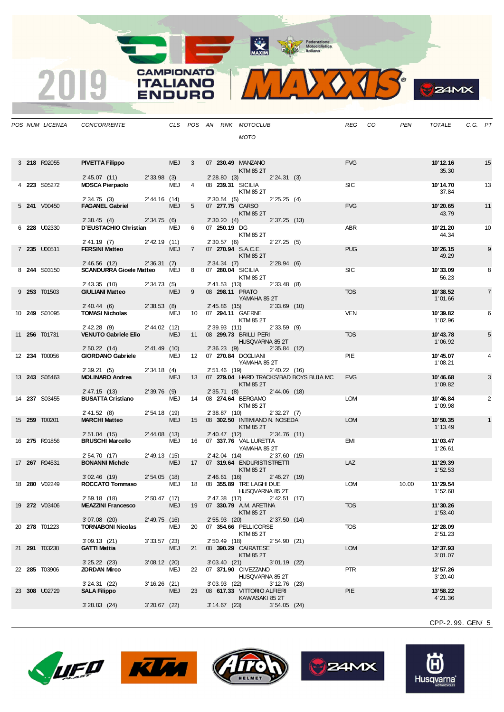MAXIM BOOR Motociclistica



| ZIMX |
|------|
|      |

|  | POS NUM LICENZA | CONCORRENTE                                          |                 |            |                |                 | CLS POS AN RNK MOTOCLUB                        | REG        | CO | <b>PEN</b> | <b>TOTALE</b> | C.G. PT |                |
|--|-----------------|------------------------------------------------------|-----------------|------------|----------------|-----------------|------------------------------------------------|------------|----|------------|---------------|---------|----------------|
|  |                 |                                                      |                 |            |                |                 | MOTO                                           |            |    |            |               |         |                |
|  |                 |                                                      |                 |            |                |                 |                                                |            |    |            |               |         |                |
|  | 3 218 R02055    | <b>PIVETTA Filippo</b>                               |                 | MEJ 3      |                |                 | 07 230.49 MANZANO                              | <b>FVG</b> |    |            | 10'12.16      |         | 15             |
|  |                 |                                                      |                 |            |                |                 | KTM 85 2T                                      |            |    |            | 35.30         |         |                |
|  | 4 223 S05272    | 2'45.07(11)<br><b>MOSCA Pierpaolo</b>                | 2' 33.98 (3)    | MEJ        | $\overline{4}$ | 2'28.80(3)      | 2' 24.31 (3)<br>08 239.31 SICILIA              | <b>SIC</b> |    |            | 10'14.70      |         | 13             |
|  |                 |                                                      |                 |            |                |                 | KTM 85 2T                                      |            |    |            | 37.84         |         |                |
|  | 5 241 V00450    | 2'34.75(3)<br><b>FAGANEL Gabriel</b>                 | 2'44.16 (14)    | MEJ        | 5 <sup>5</sup> | 2'30.54(5)      | 2'25.25(4)<br>07 277.75 CARSO                  | <b>FVG</b> |    |            | 10'20.65      |         | 11             |
|  |                 |                                                      |                 |            |                |                 | KTM 85 2T                                      |            |    |            | 43.79         |         |                |
|  | 6 228 U02330    | 2'38.45(4)<br>D'EUSTACHIO Christian                  | 2'34.75(6)      | MEJ 6      |                |                 | 2' 30.20 (4) 2' 37.25 (13)<br>07 250.19 DG     | ABR        |    |            | 10'21.20      |         | 10             |
|  |                 |                                                      |                 |            |                |                 | KTM 85 2T                                      |            |    |            | 44.34         |         |                |
|  | 7 235 U00511    | $2'$ 41.19 (7)<br><b>FERSINI Matteo</b>              | $2'$ 42.19 (11) | MEJ 7      |                |                 | 2'30.57(6)<br>2'27.25(5)<br>07 270.94 S.A.C.E. | <b>PUG</b> |    |            | 10'26.15      |         | 9              |
|  |                 |                                                      |                 |            |                |                 | KTM 85 2T                                      |            |    |            | 49.29         |         |                |
|  | 8 244 S03150    | 2' 46.56 (12)<br><b>SCANDURRA Gioele Matteo</b>      | 2'36.31(7)      | MEJ 8      |                |                 | 2'34.34(7)<br>2'28.94(6)<br>07 280.04 SICILIA  | SIC        |    |            | 10'33.09      |         | 8              |
|  |                 |                                                      |                 |            |                |                 | KTM 85 2T                                      |            |    |            | 56.23         |         |                |
|  | 9 253 T01503    | 2' 43.35 (10) 2' 34.73 (5)<br><b>GIULIANI Matteo</b> |                 | MEJ        | - 9            |                 | 2' 41.53 (13)<br>2'33.48(8)<br>08 298.11 PRATO | <b>TOS</b> |    |            | 10'38.52      |         | $\overline{7}$ |
|  |                 |                                                      |                 |            |                |                 | YAMAHA 85 2T                                   |            |    |            | 1'01.66       |         |                |
|  | 10 249 S01095   | 2' 40.44 (6) 2' 38.53 (8)<br><b>TOMASI Nicholas</b>  |                 | MEJ        |                | $2' 45.86$ (15) | $2'33.69$ (10)<br>10 07 294.11 GAERNE          | <b>VEN</b> |    |            | 10'39.82      |         | 6              |
|  |                 | 2' 42.28 (9) 2' 44.02 (12)                           |                 |            |                |                 | KTM 85 2T                                      |            |    |            | 1'02.96       |         |                |
|  | 11 256 T01731   | <b>VENUTO Gabriele Elio</b>                          |                 | <b>MEJ</b> |                | 2'39.93(11)     | $2'33.59$ (9)<br>11 08 299.73 BRILLI PERI      | <b>TOS</b> |    |            | 10'43.78      |         | 5              |
|  |                 |                                                      | $2' 41.49$ (10) |            |                |                 | HUSQVARNA 85 2T<br>2'35.84(12)                 |            |    |            | 1'06.92       |         |                |
|  | 12 234 T00056   | 2'50.22(14)<br><b>GIORDANO Gabriele</b>              |                 | MEJ        |                |                 | 2'36.23(9)<br>12  07  270.84  DOGLIANI         | PIE        |    |            | 10'45.07      |         | 4              |
|  |                 | 2'39.21(5)                                           | 2'34.18(4)      |            |                | 2' 51.46 (19)   | YAMAHA 85 2T<br>$2'$ 40.22 (16)                |            |    |            | 1'08.21       |         |                |
|  | 13 243 S05463   | <b>MOLINARO Andrea</b>                               |                 | MEJ        |                |                 | 13 07 279.04 HARD TRACKS/BAD BOYS BUJA MC      | <b>FVG</b> |    |            | 10'46.68      |         | 3              |
|  |                 | 2' 47.15 (13)                                        | 2'39.76(9)      |            |                |                 | KTM 85 2T<br>2' 35.71 (8) 2' 44.06 (18)        |            |    |            | 1'09.82       |         |                |
|  | 14 237 S03455   | <b>BUSATTA Cristiano</b>                             |                 | MEJ        |                |                 | 14 08 274.64 BERGAMO                           | <b>LOM</b> |    |            | 10'46.84      |         | 2              |
|  |                 | 2' 41.52 (8)                                         | 2'54.18(19)     |            |                |                 | KTM 85 2T<br>2' 38.87 (10) 2' 32.27 (7)        |            |    |            | 1'09.98       |         |                |
|  | 15 259 T00201   | <b>MARCHI Matteo</b>                                 |                 | MEJ        |                |                 | 15 08 <b>302.50 INTIMIANO N. NOSEDA</b>        | <b>LOM</b> |    |            | 10'50.35      |         |                |
|  |                 | 2' 51.04 (15)                                        | 2' 44.08(13)    |            |                |                 | KTM 85 2T<br>2' 40.47 (12) 2' 34.76 (11)       |            |    |            | 1' 13.49      |         |                |
|  | 16 275 R01856   | <b>BRUSCHI Marcello</b>                              |                 | MEJ        |                |                 | 16  07  337.76  VAL LURETTA                    | <b>EMI</b> |    |            | 11'03.47      |         |                |
|  |                 | 2' 54.70 (17)                                        | $2'$ 49.13 (15) |            |                |                 | YAMAHA 852T<br>2' 42.04 (14) 2' 37.60 (15)     |            |    |            | 1'26.61       |         |                |
|  | 17 267 R04531   | <b>BONANNI Michele</b>                               |                 | MEJ        |                |                 | 17 07 319.64 ENDURISTISTRETTI                  | LAZ        |    |            | 11'29.39      |         |                |
|  |                 | $3'02.46$ (19)                                       | 2'54.05(18)     |            |                | 2'46.61(16)     | KTM 85 2T<br>2'46.27(19)                       |            |    |            | 1'52.53       |         |                |
|  | 18 280 V02249   | ROCCATO Tommaso MEJ 18 08 355.89 TRE LAGHI DUE       |                 |            |                |                 |                                                | LOM        |    | 10.00      | 11'29.54      |         |                |
|  |                 | 2'59.18 (18)                                         | 2'50.47 (17)    |            |                |                 | HUSQVARNA 85 2T<br>2' 47.38 (17) 2' 42.51 (17) |            |    |            | 1'52.68       |         |                |
|  | 19 272 V03406   | <b>MEAZZINI Francesco</b>                            |                 | <b>MEJ</b> |                |                 | 19 07 330.79 A.M. ARETINA                      | <b>TOS</b> |    |            | 11'30.26      |         |                |
|  |                 | $3'07.08$ (20)                                       | $2'$ 49.75 (16) |            |                | $2'55.93$ (20)  | KTM 85 2T<br>2'37.50(14)                       |            |    |            | 1'53.40       |         |                |
|  | 20 278 T01223   | <b>TORNABONI Nicolas</b>                             |                 | MEJ        |                |                 | 20 07 354.66 PELLICORSE                        | <b>TOS</b> |    |            | 12'28.09      |         |                |
|  |                 | 3'09.13(21)                                          | 3'33.57(23)     |            |                | 2' 50.49 (18)   | KTM 85 2T<br>2'54.90 (21)                      |            |    |            | 2'51.23       |         |                |
|  | 21 291 T03238   | <b>GATTI Mattia</b>                                  |                 | MEJ        |                |                 | 21 08 390.29 CAIRATESE                         | <b>LOM</b> |    |            | 12' 37.93     |         |                |
|  |                 | $3'25.22$ (23)                                       | 3'08.12(20)     |            |                |                 | KTM 85 2T<br>3'03.40(21)<br>$3'01.19$ (22)     |            |    |            | 3'01.07       |         |                |
|  | 22 285 T03906   | <b>ZORDAN Mirco</b>                                  |                 | MEJ        |                |                 | 22  07  371.90  CIVEZZANO<br>HUSQVARNA 85 2T   | <b>PTR</b> |    |            | 12' 57.26     |         |                |
|  |                 | 3'24.31(22)                                          | 3'16.26(21)     |            |                |                 | 3'03.93(22)<br>$3' 12.76$ (23)                 |            |    |            | 3'20.40       |         |                |
|  | 23 308 U02729   | <b>SALA Filippo</b>                                  |                 | <b>MEJ</b> |                |                 | 23 08 617.33 VITTORIO ALFIERI                  | PIE        |    |            | 13'58.22      |         |                |
|  |                 | $3'28.83$ (24)                                       | $3'20.67$ (22)  |            |                |                 | KAWASAKI 85 2T<br>3'14.67(23)<br>3'54.05(24)   |            |    |            | 4'21.36       |         |                |
|  |                 |                                                      |                 |            |                |                 |                                                |            |    |            |               |         |                |

**CAMPIONATO** 

**ITALIANO** ENDURO

2019









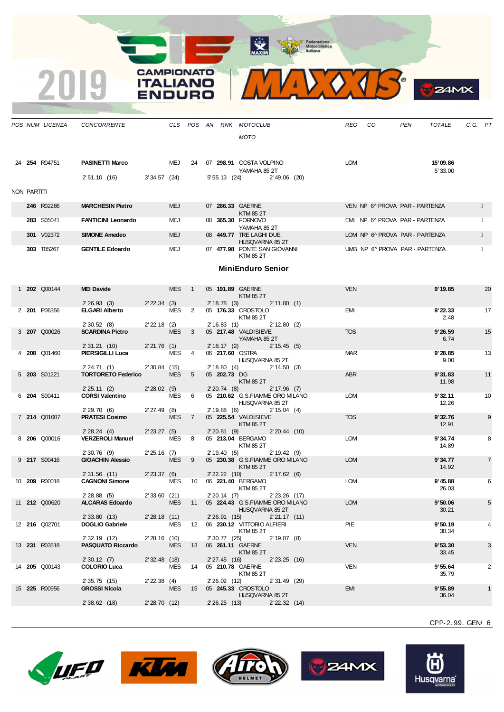MAXIM Rederazione

**CAMPIONATO** 

**ITALIANO** 

**ENDURO** 

2019



**24MX** 

|             | POS NUM LICENZA     | CONCORRENTE                                           |                |                  |    |                                    | CLS POS AN RNK MOTOCLUB<br>MOTO                                                              | REG CO                         | PEN<br>TOTALE       | C.G. PT |                 |
|-------------|---------------------|-------------------------------------------------------|----------------|------------------|----|------------------------------------|----------------------------------------------------------------------------------------------|--------------------------------|---------------------|---------|-----------------|
|             | 24 254 R04751       | <b>PASINETTI Marco</b><br>2' 51.10 (16) 3' 34.57 (24) |                |                  |    |                                    | MEJ 24 07 298.91 COSTA VOLPINO<br>YAMAHA 85 2T<br>5' 55.13 (24) 2' 49.06 (20)                | LOM                            | 15'09.86<br>5'33.00 |         |                 |
| NON PARTITI |                     |                                                       |                |                  |    |                                    |                                                                                              |                                |                     |         |                 |
|             | 246 R02286          | <b>MARCHESIN Pietro</b>                               |                | <b>MEJ</b>       |    |                                    | 07 286.33 GAERNE<br>KTM 85 2T                                                                | VEN NP 6^ PROVA PAR - PARTENZA |                     |         |                 |
|             | 283 S05041          | <b>FANTICINI Leonardo</b>                             |                | MEJ              |    |                                    | 08 365.30 FORNOVO<br>YAMAHA 85 2T                                                            | EMI NP 6^ PROVA PAR - PARTENZA |                     |         |                 |
|             | 301 V02372          | <b>SIMONE Amedeo</b>                                  |                | <b>MEJ</b>       |    |                                    | 08 449.77 TRE LAGHI DUE<br>HUSQVARNA 85 2T                                                   | LOM NP 6^ PROVA PAR - PARTENZA |                     |         |                 |
|             | 303 T05267          | <b>GENTILE Edoardo</b>                                |                | MEJ              |    |                                    | 07 477.98 PONTE SAN GIOVANNI<br>KTM 85 2T                                                    | UMB NP 6^ PROVA PAR - PARTENZA |                     |         |                 |
|             |                     |                                                       |                |                  |    |                                    | <b>MiniEnduro Senior</b>                                                                     |                                |                     |         |                 |
|             | 1 <b>202</b> Q00144 | <b>MEI Davide</b>                                     |                | MES 1            |    | 05 191.89 GAERNE                   | KTM 85 2T                                                                                    | <b>VEN</b>                     | 9'19.85             |         | 20              |
|             | 2 201 P06356        | 2' 26.93 (3) 2' 22.34 (3)<br><b>ELGARI Alberto</b>    |                | MES <sub>2</sub> |    |                                    | 2' 18.78 (3) 2' 11.80 (1)<br>05 176.33 CROSTOLO                                              | EMI                            | 9'22.33             |         | 17              |
|             |                     | 2'30.52(8)                                            | 2' 22.18 (2)   |                  |    |                                    | KTM 85 2T<br>2' 16.83 (1) 2' 12.80 (2)                                                       |                                | 2.48                |         |                 |
|             | 3 207 Q00026        | <b>SCARDINA Pietro</b>                                |                | MES <sub>3</sub> |    |                                    | 05 217.48 VALDISIEVE<br>YAMAHA 85 2T                                                         | <b>TOS</b>                     | 9'26.59<br>6.74     |         | 15              |
|             | 4 <b>208</b> Q01460 | 2' 31.21 (10)<br><b>PIERSIGILLI Luca</b>              | 2'21.76 (1)    | MES 4            |    | 06 217.60 OSTRA                    | 2' 18.17 (2) 2' 15.45 (5)                                                                    | <b>MAR</b>                     | 9'28.85             |         | 13              |
|             |                     | 2' 24.71(1)                                           | 2'30.84(15)    |                  |    |                                    | HUSQVARNA 85 2T<br>2' 18.80 (4) 2' 14.50 (3)                                                 |                                | 9.00                |         |                 |
|             | 5 203 S01221        | <b>TORTORETO Federico</b><br>2'25.11(2)               | 2'28.02(9)     | MES <sub>5</sub> |    | 05 202.73 DG                       | KTM 85 2T<br>$2'20.74$ (8)<br>2' 17.96 (7)                                                   | <b>ABR</b>                     | 9'31.83<br>11.98    |         | 11              |
|             | 6 204 S00411        | <b>CORSI Valentino</b> MES 6                          |                |                  |    |                                    | 05 210.62 G.S.FIAMME ORO MILANO<br>HUSQVARNA 85 2T                                           | <b>LOM</b>                     | 9'32.11<br>12.26    |         | 10              |
|             | 7 214 Q01007        | 2' 29.70 (6) 2' 27.49 (8)<br><b>PRATESI Cosimo</b>    |                | MES <sub>7</sub> |    |                                    | $2'19.88$ (6)<br>2' 15.04 (4)<br>05 <b>225.54</b> VALDISIEVE<br>KTM 85 2T                    | <b>TOS</b>                     | 9'32.76<br>12.91    |         | 9               |
|             | 8 206 Q00016        | 2'28.24(4)<br><b>VERZEROLI Manuel</b>                 | 2'23.27(5)     | MES 8            |    | 2'20.81(9)                         | <u>a sa sa</u><br>2'20.44(10)<br>05 213.04 BERGAMO<br>KTM 85 2T                              | <b>LOM</b>                     | 9'34.74<br>14.89    |         | 8               |
|             | 9 217 S00416        | 2'30.76(9)<br><b>GIOACHIN Alessio</b>                 | $2'25.16$ (7)  | MES 9            |    | 2'19.40(5)                         | 2' 19.42 (9)<br>05 230.38 G.S.FIAMME ORO MILANO<br>KTM 85 2T                                 | <b>LOM</b>                     | 9'34.77<br>14.92    |         | $\overline{7}$  |
|             |                     | $2'31.56$ (11)                                        | 2'23.37(6)     |                  |    | 2' 22.22 (10)                      | 2' 17.62 (6)                                                                                 |                                |                     |         |                 |
|             | 10 209 R00018       | <b>CAGNONI Simone</b>                                 |                |                  |    |                                    | MES 10 06 221.40 BERGAMO<br>KTM 85 2T                                                        | <b>LOM</b>                     | 9' 45.88<br>26.03   |         | 6               |
|             | 11 212 Q00620       | 2'28.88(5)<br><b>ALCARAS Edoardo</b>                  | 2'33.60 (21)   |                  |    |                                    | $2'20.14$ (7)<br>$2'23.26$ (17)<br>MES 11 05 224.43 G.S.FIAMME ORO MILANO<br>HUSQVARNA 85 2T | LOM                            | 9'50.06<br>30.21    |         | $5\overline{)}$ |
|             | 12 216 Q02701       | 2' 33.80 (13)<br><b>DOGLIO Gabriele</b>               | 2'28.18(11)    | MES              | 12 | 2'26.91(15)                        | 2'21.17(11)<br>06 230.12 VITTORIO ALFIERI<br>KTM 85 2T                                       | PIE                            | 9'50.19<br>30.34    |         | 4               |
|             | 13 231 R03518       | 2' 32.19 (12)<br>PASQUATO Riccardo                    | $2'28.16$ (10) | <b>MES</b>       | 13 | $2'30.77$ (25)<br>06 261.11 GAERNE | $2' 19.07$ (8)<br>KTM 85 2T                                                                  | <b>VEN</b>                     | 9'53.30<br>33.45    |         | 3               |
|             | 14 205 Q00143       | 2'30.12(7)<br><b>COLORIO Luca</b>                     | $2'32.48$ (18) | MES              | 14 | 2'27.45(16)<br>05 210.78 GAERNE    | 2'23.25(16)                                                                                  | <b>VEN</b>                     | 9'55.64             |         | 2               |
|             |                     |                                                       |                |                  |    |                                    | KTM 85 2T                                                                                    |                                | 35.79               |         |                 |
|             | 15 225 R00956       | 2' 35.75 (15)<br><b>GROSSI Nicola</b>                 | $2' 22.38$ (4) | <b>MES</b>       | 15 | 2' 26.02 (12)                      | 2' 31.49 (29)<br>05 245.33 CROSTOLO<br>HUSQVARNA 85 2T                                       | <b>EMI</b>                     | 9'55.89<br>36.04    |         | $\mathbf{1}$    |
|             |                     | 2' 38.62 (18)                                         | 2'28.70(12)    |                  |    | $2'26.25$ (13)                     | $2'$ 22.32 $(14)$                                                                            |                                |                     |         |                 |
|             |                     |                                                       |                |                  |    |                                    |                                                                                              |                                |                     |         |                 |









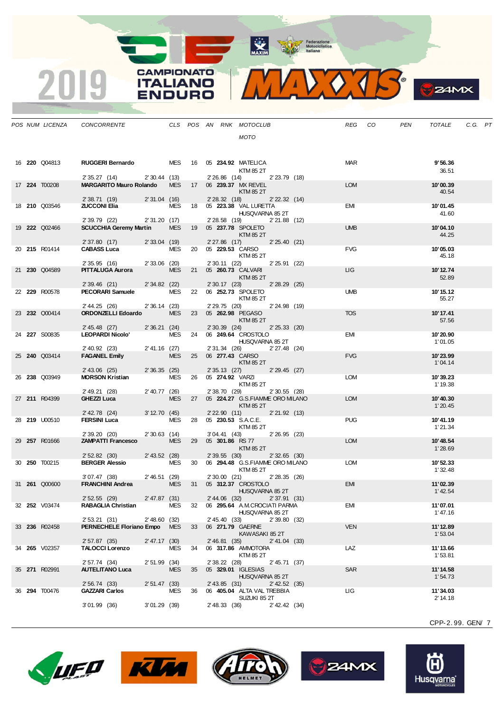MAXIM BOOR Motociclistica



|  | POS NUM LICENZA      | CONCORRENTE                                              |                |            |    |                 | CLS POS AN RNK MOTOCLUB                                        |                   | <b>REG</b> | CO | PEN | <b>TOTALE</b>       | C.G. PT |  |
|--|----------------------|----------------------------------------------------------|----------------|------------|----|-----------------|----------------------------------------------------------------|-------------------|------------|----|-----|---------------------|---------|--|
|  |                      |                                                          |                |            |    |                 | MOTO                                                           |                   |            |    |     |                     |         |  |
|  |                      |                                                          |                |            |    |                 |                                                                |                   |            |    |     |                     |         |  |
|  | 16 <b>220</b> Q04813 | RUGGERI Bernardo MES 16 05 234.92 MATELICA               |                |            |    |                 |                                                                |                   | <b>MAR</b> |    |     | 9'56.36             |         |  |
|  |                      | 2' 35.27 (14) 2' 30.44 (13)                              |                |            |    |                 | KTM 85 2T<br>2'26.86 (14) 2'23.79 (18)                         |                   |            |    |     | 36.51               |         |  |
|  | 17 224 T00208        | MARGARITO Mauro Rolando MES 17 06 239.37 MX REVEL        |                |            |    |                 |                                                                |                   | <b>LOM</b> |    |     | 10'00.39            |         |  |
|  |                      | 2' 38.71 (19) 2' 31.04 (16)                              |                |            |    |                 | KTM 85 2T<br>2' 28.32 (18) 2' 22.32 (14)                       |                   |            |    |     | 40.54               |         |  |
|  | 18 <b>210</b> Q03546 | <b>ZUCCONI Elia</b>                                      |                | MES        |    |                 | 18  05  223.38  VAL LURETTA                                    |                   | EMI        |    |     | 10'01.45            |         |  |
|  |                      | 2' 39.79 (22) 2' 31.20 (17)                              |                |            |    |                 | HUSQVARNA 85 2T<br>2'28.58 (19) 2'21.88 (12)                   |                   |            |    |     | 41.60               |         |  |
|  | 19 222 002466        | SCUCCHIA Geremy Martin MES 19 05 237.78 SPOLETO          |                |            |    |                 |                                                                |                   | <b>UMB</b> |    |     | 10'04.10            |         |  |
|  |                      | 2' 37.80 (17) 2' 33.04 (19)                              |                |            |    |                 | KTM 85 2T<br>2'27.86 (17) 2'25.40 (21)                         |                   |            |    |     | 44.25               |         |  |
|  | 20 215 R01414        | <b>CABASS Luca</b> MES 20 05 229.53 CARSO                |                |            |    |                 |                                                                |                   | <b>FVG</b> |    |     | 10'05.03            |         |  |
|  |                      | 2' 35.95 (16) 2' 33.06 (20)                              |                |            |    |                 | <b>KTM 85 2T</b><br>2' 30.11 (22) 2' 25.91 (22)                |                   |            |    |     | 45.18               |         |  |
|  | 21 230 Q04589        | <b>PITTALUGA Aurora</b>                                  |                |            |    |                 | MES 21 05 260.73 CALVARI                                       |                   | <b>LIG</b> |    |     | 10'12.74            |         |  |
|  |                      | 2' 39.46 (21) 2' 34.82 (22)                              |                |            |    |                 | KTM 85 2T<br>2' 30.17 (23) 2' 28.29 (25)                       |                   |            |    |     | 52.89               |         |  |
|  | 22 229 R00578        | <b>PECORARI Samuele</b> MES                              |                |            |    |                 | 22 06 <b>252.73</b> SPOLETO                                    |                   | <b>UMB</b> |    |     | 10' 15.12           |         |  |
|  |                      | 2' 44.25 (26) 2' 36.14 (23)                              |                |            |    | 2' 29.75 (20)   | KTM 85 2T<br>2' 24.98 (19)                                     |                   |            |    |     | 55.27               |         |  |
|  | 23 232 Q00414        | <b>ORDONZELLI Edoardo</b>                                |                | <b>MES</b> |    |                 | 23 05 262.98 PEGASO                                            |                   | <b>TOS</b> |    |     | 10'17.41            |         |  |
|  |                      | 2' 45.48 (27)                                            | 2' 36.21 (24)  |            |    |                 | <b>KTM 85 2T</b><br>2' 30.39 (24) 2' 25.33 (20)                |                   |            |    |     | 57.56               |         |  |
|  | 24 227 S00835        | <b>LEOPARDI Nicolo'</b>                                  |                |            |    |                 | MES 24 06 249.64 CROSTOLO<br><b>HUSQVARNA 85 2T</b>            |                   | EMI        |    |     | 10'20.90<br>1'01.05 |         |  |
|  |                      | 2' 40.92 (23) 2' 41.16 (27)<br><b>FAGANEL Emily</b> MES  |                |            |    |                 | 2' 31.34 (26) 2' 27.48 (24)                                    |                   |            |    |     |                     |         |  |
|  | 25 240 Q03414        |                                                          |                | <b>MES</b> |    |                 | 25 06 277.43 CARSO<br><b>KTM 85 2T</b>                         |                   | <b>FVG</b> |    |     | 10'23.99<br>1'04.14 |         |  |
|  |                      | 2' 43.06 (25)                                            | 2'36.35(25)    |            |    |                 | 2' 35.13 (27) 2' 29.45 (27)                                    |                   |            |    |     |                     |         |  |
|  | 26 238 Q03949        | <b>MORSON Kristian</b>                                   |                | MES        |    |                 | 26  05  274.92  VARZI<br>KTM 85 2T                             |                   | <b>LOM</b> |    |     | 10'39.23<br>1'19.38 |         |  |
|  |                      | 2' 49.21 (28)                                            | 2'40.77 (26)   |            |    |                 | 2' 38.70 (29) 2' 30.55 (28)                                    |                   |            |    |     |                     |         |  |
|  | 27 211 R04399        | GHEZZI Luca                                              |                | <b>MES</b> | 27 |                 | 05 224.27 G.S.FIAMME ORO MILANO<br><b>Example 12 KTM 85 2T</b> |                   | <b>LOM</b> |    |     | 10'40.30<br>1'20.45 |         |  |
|  |                      | 2' 42.78 (24)                                            | 3' 12.70 (45)  |            |    |                 | 2' 22.90 (11) 2' 21.92 (13)                                    |                   |            |    |     |                     |         |  |
|  | 28 <b>219</b> U00510 | <b>FERSINI Luca</b>                                      |                | MES        | 28 |                 | 05 230.53 S.A.C.E.<br>KTM 85 2T                                |                   | <b>PUG</b> |    |     | 10'41.19<br>1'21.34 |         |  |
|  |                      | 2' 39.20 (20)                                            | 2'30.63(14)    |            |    |                 | 3'04.41 (43) 2'26.95 (23)                                      |                   |            |    |     |                     |         |  |
|  | 29 257 R01666        | <b>ZAMPATTI Francesco MES</b>                            |                |            |    |                 | 29 05 301.86 RS 77<br>KTM 85 2T                                |                   | <b>LOM</b> |    |     | 10'48.54<br>1'28.69 |         |  |
|  |                      | 2' 52.82 (30) 2' 43.52 (28)                              |                |            |    |                 | 2' 39.55 (30) 2' 32.65 (30)                                    |                   |            |    |     |                     |         |  |
|  | 30 <b>250</b> T00215 | <b>BERGER Alessio</b>                                    |                | MES        |    |                 | 30 06 294.48 G.S.FIAMME ORO MILANO<br>KTM 85 2T                |                   | <b>LOM</b> |    |     | 10'52.33<br>1'32.48 |         |  |
|  | 31 <b>261 Q00600</b> | 3'07.47 (38) 2'46.51 (29)<br><b>FRANCHINI Andrea</b>     |                |            |    | 2' 30.00 (21)   | MES 31 05 312.37 CROSTOLO                                      | 2'28.35 (26)      | <b>EMI</b> |    |     | 11'02.39            |         |  |
|  |                      |                                                          |                |            |    |                 | HUSQVARNA 85 2T                                                |                   |            |    |     | 1' 42.54            |         |  |
|  | 32 252 V03474        | 2' 52.55 (29) 2' 47.87 (31)<br><b>RABAGLIA Christian</b> |                | MES        | 32 |                 | 2' 44.06 (32) 2' 37.91 (31)<br>06 295.64 A.M.CROCIATI PARMA    |                   | EMI        |    |     | 11'07.01            |         |  |
|  |                      |                                                          |                |            |    |                 | HUSQVARNA 85 2T                                                |                   |            |    |     | 1'47.16             |         |  |
|  | 33 236 R02458        | 2' 53.21 (31)<br>PERNECHELE Floriano Empo MES            | 2'48.60(32)    |            | 33 | 2' 45.40 (33)   | 06 271.79 GAERNE                                               | 2'39.80(32)       | <b>VEN</b> |    |     | 11'12.89            |         |  |
|  |                      |                                                          |                |            |    |                 | KAWASAKI 85 2T                                                 |                   |            |    |     | 1'53.04             |         |  |
|  | 34 265 V02357        | 2' 57.87 (35)<br><b>TALOCCI Lorenzo</b>                  | 2' 47.17 (30)  | MES        | 34 | 2'46.81(35)     | 06 317.86 AMMOTORA                                             | 2' 41.04 (33)     | LAZ        |    |     | 11'13.66            |         |  |
|  |                      |                                                          |                |            |    |                 | KTM 85 2T                                                      |                   |            |    |     | 1'53.81             |         |  |
|  | 35 271 R02991        | 2' 57.74 (34)<br><b>AUTELITANO Luca</b>                  | $2'51.99$ (34) | <b>MES</b> | 35 | 2' 38.22 (28)   | 05 329.01 IGLESIAS                                             | 2'45.71(37)       | SAR        |    |     | 11'14.58            |         |  |
|  |                      |                                                          |                |            |    |                 | HUSQVARNA 85 2T                                                |                   |            |    |     | 1'54.73             |         |  |
|  | 36 294 T00476        | 2' 56.74 (33)<br><b>GAZZARI Carlos</b>                   | 2'51.47(33)    | MES        | 36 | $2'$ 43.85 (31) | 06 405.04 ALTA VAL TREBBIA                                     | 2' 42.52 (35)     | ЦG         |    |     | 11'34.03            |         |  |
|  |                      |                                                          |                |            |    |                 | SUZUKI 85 2T                                                   |                   |            |    |     | 2' 14.18            |         |  |
|  |                      | $3'01.99$ (36)                                           | 3'01.29(39)    |            |    | 2' 48.33 (36)   |                                                                | $2'$ 42.42 $(34)$ |            |    |     |                     |         |  |

**CAMPIONATO** 

**ITALIANO ENDURO** 

2019